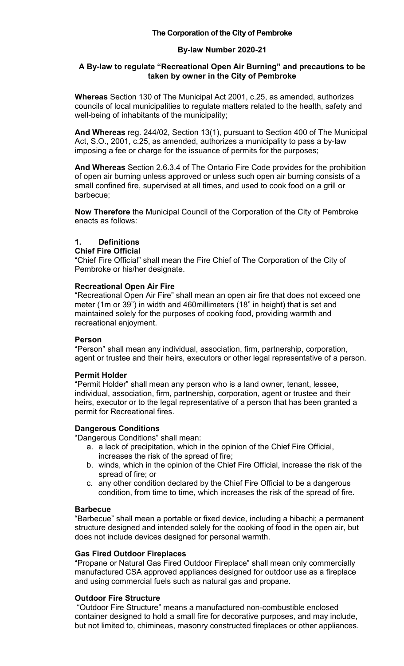# **The Corporation of the City of Pembroke**

### **By-law Number 2020-21**

### **A By-law to regulate "Recreational Open Air Burning" and precautions to be taken by owner in the City of Pembroke**

**Whereas** Section 130 of The Municipal Act 2001, c.25, as amended, authorizes councils of local municipalities to regulate matters related to the health, safety and well-being of inhabitants of the municipality;

**And Whereas** reg. 244/02, Section 13(1), pursuant to Section 400 of The Municipal Act, S.O., 2001, c.25, as amended, authorizes a municipality to pass a by-law imposing a fee or charge for the issuance of permits for the purposes;

**And Whereas** Section 2.6.3.4 of The Ontario Fire Code provides for the prohibition of open air burning unless approved or unless such open air burning consists of a small confined fire, supervised at all times, and used to cook food on a grill or barbecue;

**Now Therefore** the Municipal Council of the Corporation of the City of Pembroke enacts as follows:

### **1. Definitions**

### **Chief Fire Official**

"Chief Fire Official" shall mean the Fire Chief of The Corporation of the City of Pembroke or his/her designate.

### **Recreational Open Air Fire**

"Recreational Open Air Fire" shall mean an open air fire that does not exceed one meter (1m or 39") in width and 460millimeters (18" in height) that is set and maintained solely for the purposes of cooking food, providing warmth and recreational enjoyment.

### **Person**

"Person" shall mean any individual, association, firm, partnership, corporation, agent or trustee and their heirs, executors or other legal representative of a person.

### **Permit Holder**

"Permit Holder" shall mean any person who is a land owner, tenant, lessee, individual, association, firm, partnership, corporation, agent or trustee and their heirs, executor or to the legal representative of a person that has been granted a permit for Recreational fires.

### **Dangerous Conditions**

"Dangerous Conditions" shall mean:

- a. a lack of precipitation, which in the opinion of the Chief Fire Official, increases the risk of the spread of fire;
- b. winds, which in the opinion of the Chief Fire Official, increase the risk of the spread of fire; or
- c. any other condition declared by the Chief Fire Official to be a dangerous condition, from time to time, which increases the risk of the spread of fire.

### **Barbecue**

"Barbecue" shall mean a portable or fixed device, including a hibachi; a permanent structure designed and intended solely for the cooking of food in the open air, but does not include devices designed for personal warmth.

### **Gas Fired Outdoor Fireplaces**

"Propane or Natural Gas Fired Outdoor Fireplace" shall mean only commercially manufactured CSA approved appliances designed for outdoor use as a fireplace and using commercial fuels such as natural gas and propane.

# **Outdoor Fire Structure**

"Outdoor Fire Structure" means a manufactured non-combustible enclosed container designed to hold a small fire for decorative purposes, and may include, but not limited to, chimineas, masonry constructed fireplaces or other appliances.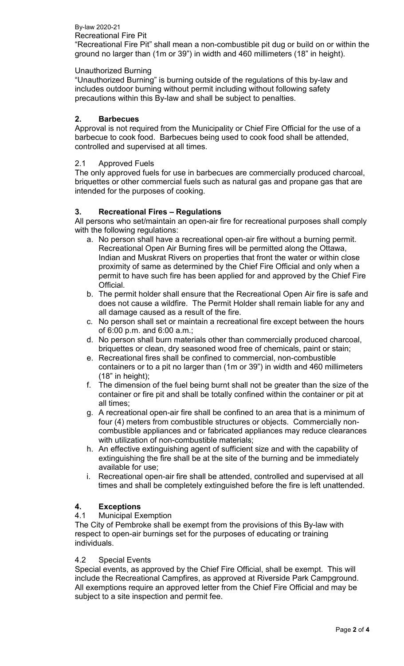#### By-law 2020-21 Recreational Fire Pit

"Recreational Fire Pit" shall mean a non-combustible pit dug or build on or within the ground no larger than (1m or 39") in width and 460 millimeters (18" in height).

# Unauthorized Burning

"Unauthorized Burning" is burning outside of the regulations of this by-law and includes outdoor burning without permit including without following safety precautions within this By-law and shall be subject to penalties.

# **2. Barbecues**

Approval is not required from the Municipality or Chief Fire Official for the use of a barbecue to cook food. Barbecues being used to cook food shall be attended, controlled and supervised at all times.

# 2.1 Approved Fuels

The only approved fuels for use in barbecues are commercially produced charcoal, briquettes or other commercial fuels such as natural gas and propane gas that are intended for the purposes of cooking.

# **3. Recreational Fires – Regulations**

All persons who set/maintain an open-air fire for recreational purposes shall comply with the following regulations:

- a. No person shall have a recreational open-air fire without a burning permit. Recreational Open Air Burning fires will be permitted along the Ottawa, Indian and Muskrat Rivers on properties that front the water or within close proximity of same as determined by the Chief Fire Official and only when a permit to have such fire has been applied for and approved by the Chief Fire Official.
- b. The permit holder shall ensure that the Recreational Open Air fire is safe and does not cause a wildfire. The Permit Holder shall remain liable for any and all damage caused as a result of the fire.
- c. No person shall set or maintain a recreational fire except between the hours of 6:00 p.m. and 6:00 a.m.;
- d. No person shall burn materials other than commercially produced charcoal, briquettes or clean, dry seasoned wood free of chemicals, paint or stain;
- e. Recreational fires shall be confined to commercial, non-combustible containers or to a pit no larger than (1m or 39") in width and 460 millimeters (18" in height);
- f. The dimension of the fuel being burnt shall not be greater than the size of the container or fire pit and shall be totally confined within the container or pit at all times;
- g. A recreational open-air fire shall be confined to an area that is a minimum of four (4) meters from combustible structures or objects. Commercially noncombustible appliances and or fabricated appliances may reduce clearances with utilization of non-combustible materials;
- h. An effective extinguishing agent of sufficient size and with the capability of extinguishing the fire shall be at the site of the burning and be immediately available for use;
- i. Recreational open-air fire shall be attended, controlled and supervised at all times and shall be completely extinguished before the fire is left unattended.

# **4. Exceptions**

# **Municipal Exemption**

The City of Pembroke shall be exempt from the provisions of this By-law with respect to open-air burnings set for the purposes of educating or training individuals.

# 4.2 Special Events

Special events, as approved by the Chief Fire Official, shall be exempt. This will include the Recreational Campfires, as approved at Riverside Park Campground. All exemptions require an approved letter from the Chief Fire Official and may be subject to a site inspection and permit fee.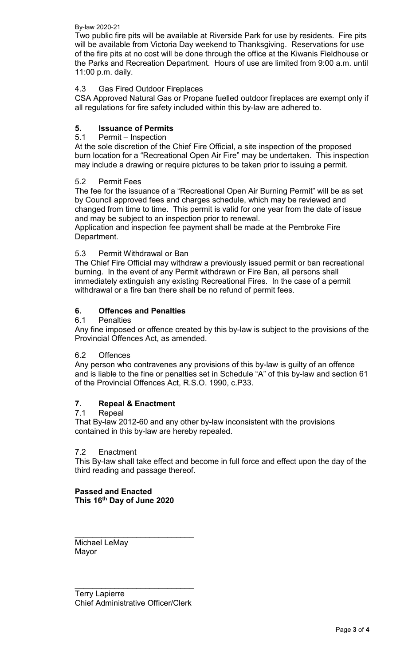By-law 2020-21

Two public fire pits will be available at Riverside Park for use by residents. Fire pits will be available from Victoria Day weekend to Thanksgiving. Reservations for use of the fire pits at no cost will be done through the office at the Kiwanis Fieldhouse or the Parks and Recreation Department. Hours of use are limited from 9:00 a.m. until 11:00 p.m. daily.

# 4.3 Gas Fired Outdoor Fireplaces

CSA Approved Natural Gas or Propane fuelled outdoor fireplaces are exempt only if all regulations for fire safety included within this by-law are adhered to.

# **5. Issuance of Permits**

# Permit – Inspection

At the sole discretion of the Chief Fire Official, a site inspection of the proposed burn location for a "Recreational Open Air Fire" may be undertaken. This inspection may include a drawing or require pictures to be taken prior to issuing a permit.

### 5.2 Permit Fees

The fee for the issuance of a "Recreational Open Air Burning Permit" will be as set by Council approved fees and charges schedule, which may be reviewed and changed from time to time. This permit is valid for one year from the date of issue and may be subject to an inspection prior to renewal.

Application and inspection fee payment shall be made at the Pembroke Fire Department.

# 5.3 Permit Withdrawal or Ban

The Chief Fire Official may withdraw a previously issued permit or ban recreational burning. In the event of any Permit withdrawn or Fire Ban, all persons shall immediately extinguish any existing Recreational Fires. In the case of a permit withdrawal or a fire ban there shall be no refund of permit fees.

# **6. Offences and Penalties**

6.1 Penalties

Any fine imposed or offence created by this by-law is subject to the provisions of the Provincial Offences Act, as amended.

### 6.2 Offences

Any person who contravenes any provisions of this by-law is guilty of an offence and is liable to the fine or penalties set in Schedule "A" of this by-law and section 61 of the Provincial Offences Act, R.S.O. 1990, c.P33.

# **7. Repeal & Enactment**

### **Repeal**

That By-law 2012-60 and any other by-law inconsistent with the provisions contained in this by-law are hereby repealed.

### 7.2 Enactment

This By-law shall take effect and become in full force and effect upon the day of the third reading and passage thereof.

**Passed and Enacted This 16th Day of June 2020**

\_\_\_\_\_\_\_\_\_\_\_\_\_\_\_\_\_\_\_\_\_\_\_\_\_\_\_ Michael LeMay Mayor

Terry Lapierre Chief Administrative Officer/Clerk

\_\_\_\_\_\_\_\_\_\_\_\_\_\_\_\_\_\_\_\_\_\_\_\_\_\_\_